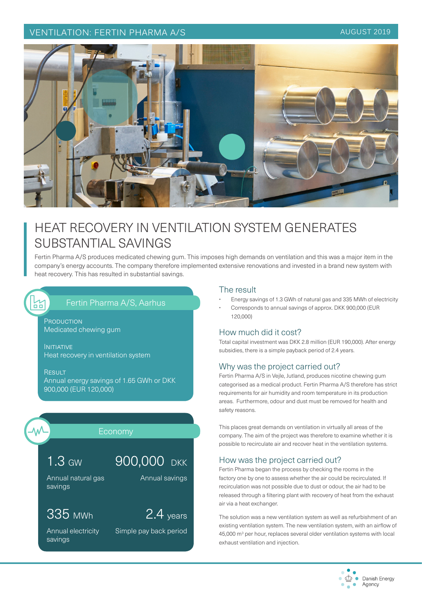### VENTILATION: FERTIN PHARMA A/S AUGUST 2019



## HEAT RECOVERY IN VENTILATION SYSTEM GENERATES SUBSTANTIAL SAVINGS

Fertin Pharma A/S produces medicated chewing gum. This imposes high demands on ventilation and this was a major item in the company's energy accounts. The company therefore implemented extensive renovations and invested in a brand new system with heat recovery. This has resulted in substantial savings.

# 껆

## Fertin Pharma A/S, Aarhus

PRODUCTION Medicated chewing gum

**INITIATIVE** Heat recovery in ventilation system

**RESULT** Annual energy savings of 1.65 GWh or DKK 900,000 (EUR 120,000)

### Economy

1.3 GW

Annual natural gas savings

## 335 MWh

Annual electricity savings

Annual savings

900,000 DKK

2.4 years

Simple pay back period

### The result

- Energy savings of 1.3 GWh of natural gas and 335 MWh of electricity
- Corresponds to annual savings of approx. DKK 900,000 (EUR 120,000)

### How much did it cost?

Total capital investment was DKK 2.8 million (EUR 190,000). After energy subsidies, there is a simple payback period of 2.4 years.

### Why was the project carried out?

Fertin Pharma A/S in Vejle, Jutland, produces nicotine chewing gum categorised as a medical product. Fertin Pharma A/S therefore has strict requirements for air humidity and room temperature in its production areas. Furthermore, odour and dust must be removed for health and safety reasons.

This places great demands on ventilation in virtually all areas of the company. The aim of the project was therefore to examine whether it is possible to recirculate air and recover heat in the ventilation systems.

### How was the project carried out?

Fertin Pharma began the process by checking the rooms in the factory one by one to assess whether the air could be recirculated. If recirculation was not possible due to dust or odour, the air had to be released through a filtering plant with recovery of heat from the exhaust air via a heat exchanger.

The solution was a new ventilation system as well as refurbishment of an existing ventilation system. The new ventilation system, with an airflow of 45,000 m<sup>3</sup> per hour, replaces several older ventilation systems with local exhaust ventilation and injection.